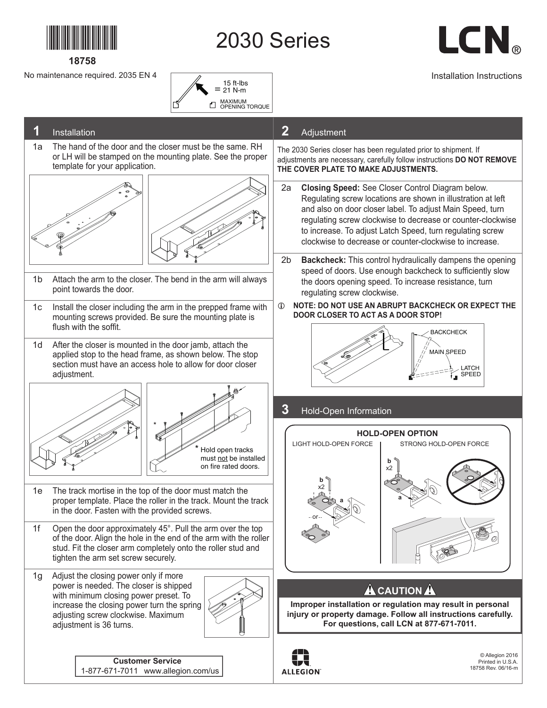

**18758**

2030 Series



Installation Instructions

No maintenance required. 2035 EN 4

## = 15 ft-lbs 21 N-m MAXIMUM OPENING TORQUE n,



SPEED

**ALLEGION** 

1-877-671-7011 www.allegion.com/us

18758 Rev. 06/16-m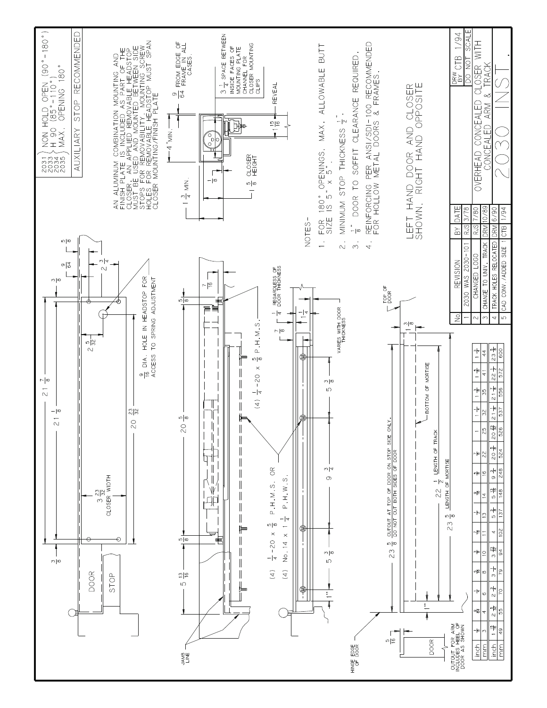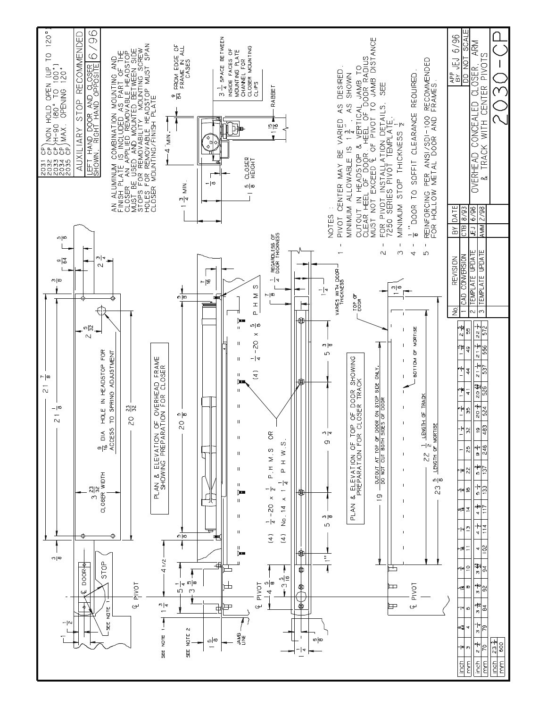